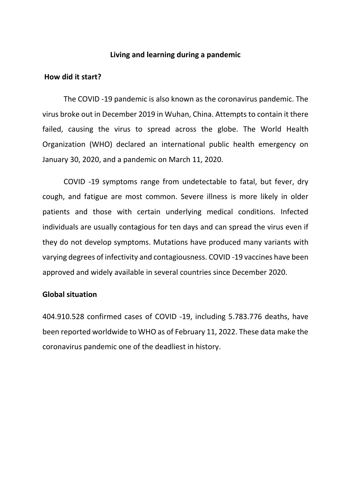## **Living and learning during a pandemic**

## **How did it start?**

The COVID -19 pandemic is also known as the coronavirus pandemic. The virus broke out in December 2019 in Wuhan, China. Attempts to contain it there failed, causing the virus to spread across the globe. The World Health Organization (WHO) declared an international public health emergency on January 30, 2020, and a pandemic on March 11, 2020.

COVID -19 symptoms range from undetectable to fatal, but fever, dry cough, and fatigue are most common. Severe illness is more likely in older patients and those with certain underlying medical conditions. Infected individuals are usually contagious for ten days and can spread the virus even if they do not develop symptoms. Mutations have produced many variants with varying degrees of infectivity and contagiousness. COVID -19 vaccines have been approved and widely available in several countries since December 2020.

### **Global situation**

404.910.528 confirmed cases of COVID -19, including 5.783.776 deaths, have been reported worldwide to WHO as of February 11, 2022. These data make the coronavirus pandemic one of the deadliest in history.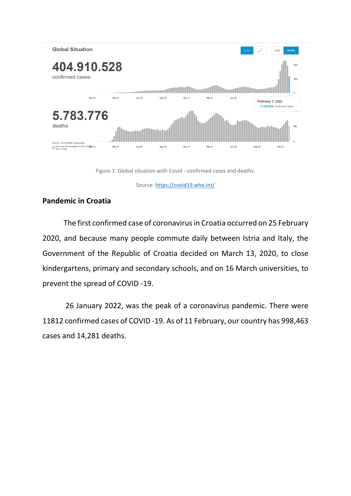

Figure 1: Global situation with Covid - confirmed cases and deaths.

Source[: https://covid19.who.int/](https://covid19.who.int/)

# **Pandemic in Croatia**

The first confirmed case of coronavirus in Croatia occurred on 25 February 2020, and because many people commute daily between Istria and Italy, the Government of the Republic of Croatia decided on March 13, 2020, to close kindergartens, primary and secondary schools, and on 16 March universities, to prevent the spread of COVID -19.

26 January 2022, was the peak of a coronavirus pandemic. There were 11812 confirmed cases of COVID -19. As of 11 February, our country has 998,463 cases and 14,281 deaths.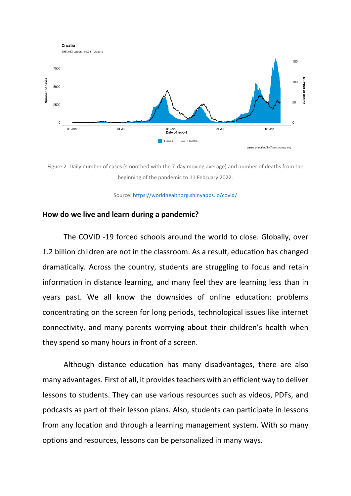

Figure 2: Daily number of cases (smoothed with the 7-day moving average) and number of deaths from the beginning of the pandemic to 11 February 2022.

Source[: https://worldhealthorg.shinyapps.io/covid/](https://worldhealthorg.shinyapps.io/covid/)

#### **How do we live and learn during a pandemic?**

The COVID -19 forced schools around the world to close. Globally, over 1.2 billion children are not in the classroom. As a result, education has changed dramatically. Across the country, students are struggling to focus and retain information in distance learning, and many feel they are learning less than in years past. We all know the downsides of online education: problems concentrating on the screen for long periods, technological issues like internet connectivity, and many parents worrying about their children's health when they spend so many hours in front of a screen.

Although distance education has many disadvantages, there are also many advantages. First of all, it provides teachers with an efficient way to deliver lessons to students. They can use various resources such as videos, PDFs, and podcasts as part of their lesson plans. Also, students can participate in lessons from any location and through a learning management system. With so many options and resources, lessons can be personalized in many ways.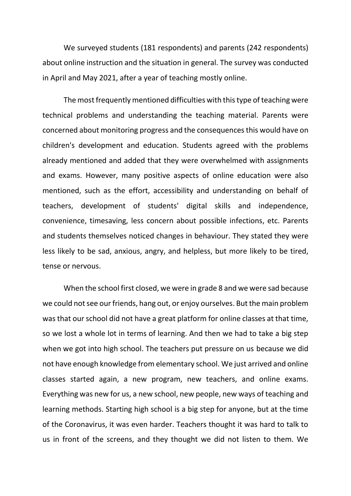We surveyed students (181 respondents) and parents (242 respondents) about online instruction and the situation in general. The survey was conducted in April and May 2021, after a year of teaching mostly online.

The most frequently mentioned difficulties with this type of teaching were technical problems and understanding the teaching material. Parents were concerned about monitoring progress and the consequences this would have on children's development and education. Students agreed with the problems already mentioned and added that they were overwhelmed with assignments and exams. However, many positive aspects of online education were also mentioned, such as the effort, accessibility and understanding on behalf of teachers, development of students' digital skills and independence, convenience, timesaving, less concern about possible infections, etc. Parents and students themselves noticed changes in behaviour. They stated they were less likely to be sad, anxious, angry, and helpless, but more likely to be tired, tense or nervous.

When the school first closed, we were in grade 8 and we were sad because we could not see our friends, hang out, or enjoy ourselves. But the main problem was that our school did not have a great platform for online classes at that time, so we lost a whole lot in terms of learning. And then we had to take a big step when we got into high school. The teachers put pressure on us because we did not have enough knowledge from elementary school. We just arrived and online classes started again, a new program, new teachers, and online exams. Everything was new for us, a new school, new people, new ways of teaching and learning methods. Starting high school is a big step for anyone, but at the time of the Coronavirus, it was even harder. Teachers thought it was hard to talk to us in front of the screens, and they thought we did not listen to them. We